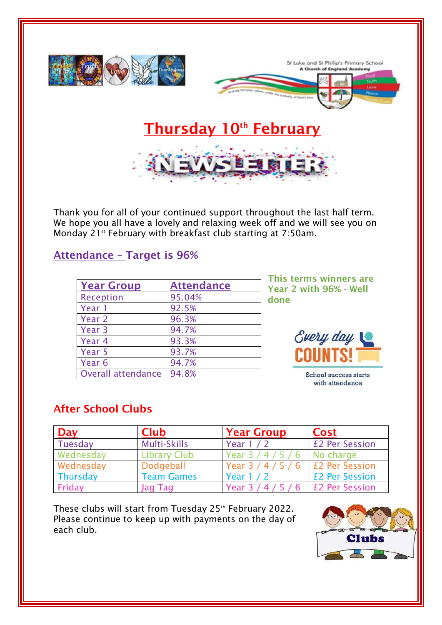

Thank you for all of your continued support throughout the last half term. We hope you all have a lovely and relaxing week off and we will see you on Monday 21<sup>st</sup> February with breakfast club starting at 7:50am.

## **Attendance – Target is 96%**

| <b>Year Group</b>  | <b>Attendance</b> |
|--------------------|-------------------|
| <b>Reception</b>   | 95.04%            |
| Year 1             | 92.5%             |
| Year 2             | 96.3%             |
| Year 3             | 94.7%             |
| Year 4             | 93.3%             |
| Year 5             | 93.7%             |
| Year 6             | 94.7%             |
| Overall attendance | 94.8%             |

**This terms winners are Year 2 with 96% - Well done**



School success starts with attendance

## **After School Clubs**

| <b>Day</b> | <b>Club</b>         | <b>Year Group</b>    | <b>Cost</b>                    |
|------------|---------------------|----------------------|--------------------------------|
| Tuesday    | <b>Multi-Skills</b> | Year 1 / 2           | £2 Per Session                 |
| Wednesday  | <b>Library Club</b> | Year 3               | No charge                      |
| Wednesday  | Dodgeball           | Year $3 / 4 / 5 / 6$ | <b>E2 Per Session</b>          |
| Thursday   | <b>Team Games</b>   | Year $1/2$           | <b>£2 Per Session</b>          |
| Friday     | Jag Tag             | Year $3 / 4 / 5 / 6$ | <b>EXPECTED</b> E2 Per Session |

These clubs will start from Tuesday 25<sup>th</sup> February 2022. Please continue to keep up with payments on the day of each club.

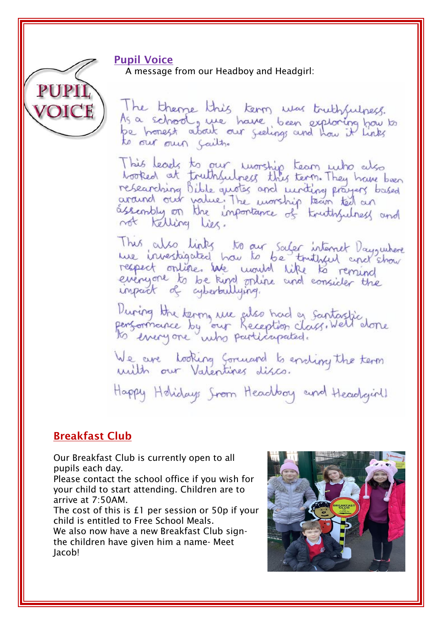## **Pupil Voice**

A message from our Headboy and Headgirl:



The theme this term was truthfulness. As a school, we have been exploring how to to our our faith.

This leads to our worship team who also<br>booked at truthsulpess this term. They have been moted at humaniques and writing prayers based<br>researching bible quotes and writing prayers based<br>araind our value. The worship team ted an not Kelling Lies.

This also links to our saler internet Dayswhere respect online. We would like to remind everyone to be kind online and consider the

During the terms we also had a santastic<br>personnance by our Reception class. Well done

We are looking Sormand to eriding the term

Happy Holidays Srom Headboy and Headgirll

## **Breakfast Club**

Our Breakfast Club is currently open to all pupils each day.

Please contact the school office if you wish for your child to start attending. Children are to arrive at 7:50AM.

The cost of this is £1 per session or 50p if your child is entitled to Free School Meals. We also now have a new Breakfast Club sign-

the children have given him a name- Meet Jacob!